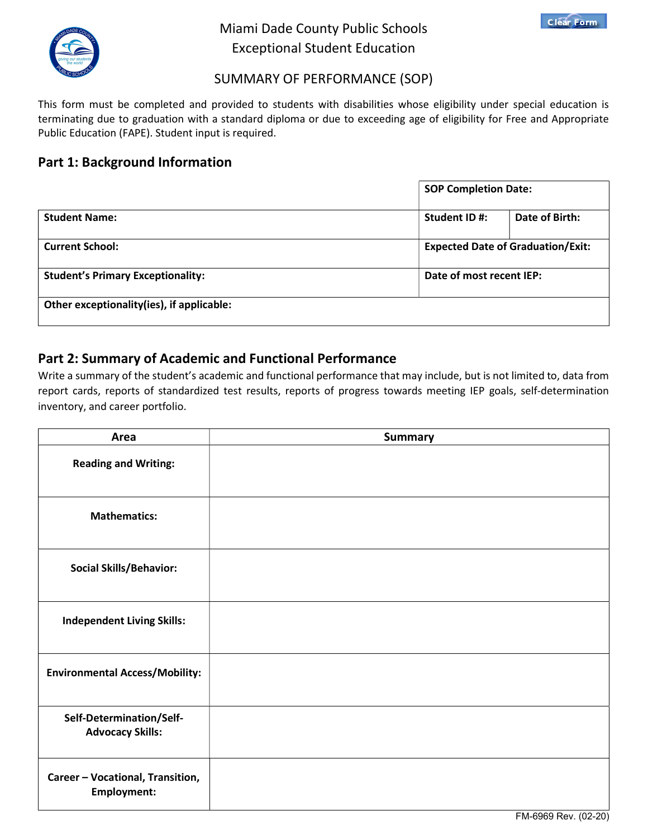

# Miami Dade County Public Schools Exceptional Student Education



## SUMMARY OF PERFORMANCE (SOP)

This form must be completed and provided to students with disabilities whose eligibility under special education is terminating due to graduation with a standard diploma or due to exceeding age of eligibility for Free and Appropriate Public Education (FAPE). Student input is required.

# Part 1: Background Information

|                                           | <b>SOP Completion Date:</b>              |
|-------------------------------------------|------------------------------------------|
| <b>Student Name:</b>                      | Date of Birth:<br>Student ID#:           |
| <b>Current School:</b>                    | <b>Expected Date of Graduation/Exit:</b> |
| <b>Student's Primary Exceptionality:</b>  | Date of most recent IEP:                 |
| Other exceptionality(ies), if applicable: |                                          |

# Part 2: Summary of Academic and Functional Performance

Write a summary of the student's academic and functional performance that may include, but is not limited to, data from report cards, reports of standardized test results, reports of progress towards meeting IEP goals, self-determination inventory, and career portfolio.

| Area                                                   | <b>Summary</b> |
|--------------------------------------------------------|----------------|
| <b>Reading and Writing:</b>                            |                |
| <b>Mathematics:</b>                                    |                |
| <b>Social Skills/Behavior:</b>                         |                |
| <b>Independent Living Skills:</b>                      |                |
| <b>Environmental Access/Mobility:</b>                  |                |
| Self-Determination/Self-<br><b>Advocacy Skills:</b>    |                |
| Career - Vocational, Transition,<br><b>Employment:</b> |                |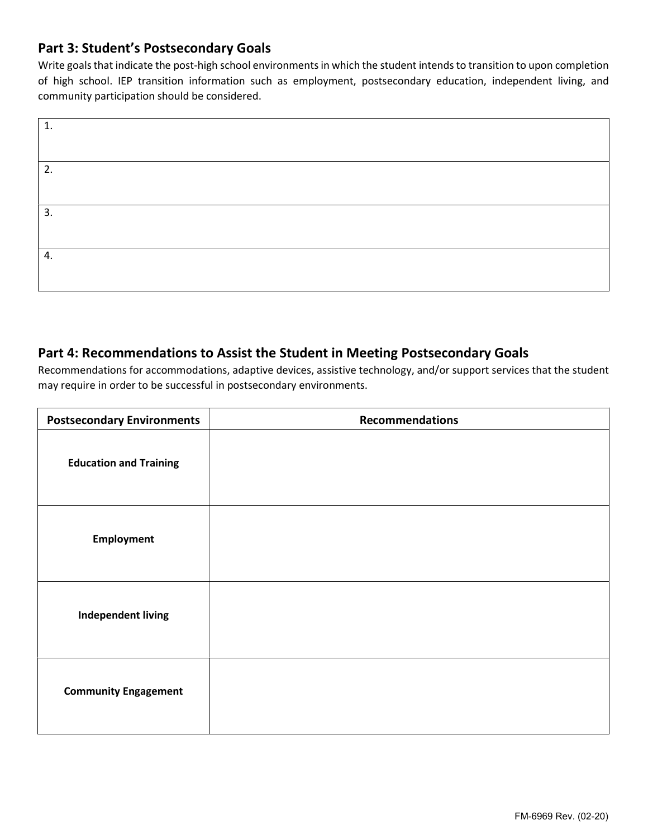## Part 3: Student's Postsecondary Goals

Write goals that indicate the post-high school environments in which the student intends to transition to upon completion of high school. IEP transition information such as employment, postsecondary education, independent living, and community participation should be considered.

| $\mathbf{1}$ |  |
|--------------|--|
|              |  |
| 2.           |  |
|              |  |
| 3.           |  |
|              |  |
| 4.           |  |
|              |  |

#### Part 4: Recommendations to Assist the Student in Meeting Postsecondary Goals

Recommendations for accommodations, adaptive devices, assistive technology, and/or support services that the student may require in order to be successful in postsecondary environments.

| <b>Postsecondary Environments</b> | <b>Recommendations</b> |
|-----------------------------------|------------------------|
| <b>Education and Training</b>     |                        |
| <b>Employment</b>                 |                        |
| <b>Independent living</b>         |                        |
| <b>Community Engagement</b>       |                        |